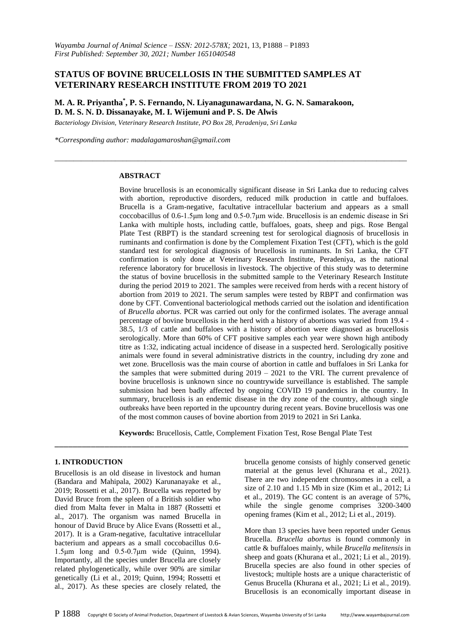# **STATUS OF BOVINE BRUCELLOSIS IN THE SUBMITTED SAMPLES AT VETERINARY RESEARCH INSTITUTE FROM 2019 TO 2021**

**M. A. R. Priyantha \* , P. S. Fernando, N. Liyanagunawardana, N. G. N. Samarakoon, D. M. S. N. D. Dissanayake, M. I. Wijemuni and P. S. De Alwis** 

*\_\_\_\_\_\_\_\_\_\_\_\_\_\_\_\_\_\_\_\_\_\_\_\_\_\_\_\_\_\_\_\_\_\_\_\_\_\_\_\_\_\_\_\_\_\_\_\_\_\_\_\_\_\_\_\_\_\_\_\_\_\_\_\_\_\_\_\_\_\_\_\_\_\_\_\_\_\_\_\_\_\_\_\_\_\_\_\_\_\_\_\_\_*

*Bacteriology Division, Veterinary Research Institute, PO Box 28, Peradeniya, Sri Lanka*

*\*Corresponding author[: madalagamaroshan@gmail.com](mailto:madalagamaroshan@gmail.com)*

#### **ABSTRACT**

Bovine brucellosis is an economically significant disease in Sri Lanka due to reducing calves with abortion, reproductive disorders, reduced milk production in cattle and buffaloes. Brucella is a Gram-negative, facultative intracellular bacterium and appears as a small coccobacillus of 0.6-1.5μm long and 0.5-0.7μm wide. Brucellosis is an endemic disease in Sri Lanka with multiple hosts, including cattle, buffaloes, goats, sheep and pigs. Rose Bengal Plate Test (RBPT) is the standard screening test for serological diagnosis of brucellosis in ruminants and confirmation is done by the Complement Fixation Test (CFT), which is the gold standard test for serological diagnosis of brucellosis in ruminants. In Sri Lanka, the CFT confirmation is only done at Veterinary Research Institute, Peradeniya, as the national reference laboratory for brucellosis in livestock. The objective of this study was to determine the status of bovine brucellosis in the submitted sample to the Veterinary Research Institute during the period 2019 to 2021. The samples were received from herds with a recent history of abortion from 2019 to 2021. The serum samples were tested by RBPT and confirmation was done by CFT. Conventional bacteriological methods carried out the isolation and identification of *Brucella abortus*. PCR was carried out only for the confirmed isolates. The average annual percentage of bovine brucellosis in the herd with a history of abortions was varied from 19.4 - 38.5, 1/3 of cattle and buffaloes with a history of abortion were diagnosed as brucellosis serologically. More than 60% of CFT positive samples each year were shown high antibody titre as 1:32, indicating actual incidence of disease in a suspected herd. Serologically positive animals were found in several administrative districts in the country, including dry zone and wet zone. Brucellosis was the main course of abortion in cattle and buffaloes in Sri Lanka for the samples that were submitted during  $2019 - 2021$  to the VRI. The current prevalence of bovine brucellosis is unknown since no countrywide surveillance is established. The sample submission had been badly affected by ongoing COVID 19 pandemics in the country. In summary, brucellosis is an endemic disease in the dry zone of the country, although single outbreaks have been reported in the upcountry during recent years. Bovine brucellosis was one of the most common causes of bovine abortion from 2019 to 2021 in Sri Lanka.

**Keywords:** Brucellosis, Cattle, Complement Fixation Test, Rose Bengal Plate Test

\_\_\_\_\_\_\_\_\_\_\_\_\_\_\_\_\_\_\_\_\_\_\_\_\_\_\_\_\_\_\_\_\_\_\_\_\_\_\_\_\_\_\_\_\_\_\_\_\_\_\_\_\_\_\_\_\_\_\_\_\_\_\_\_\_\_\_\_\_\_\_\_\_\_\_\_\_\_

#### **1. INTRODUCTION**

Brucellosis is an old disease in livestock and human (Bandara and Mahipala, 2002) Karunanayake et al., 2019; Rossetti et al., 2017). Brucella was reported by David Bruce from the spleen of a British soldier who died from Malta fever in Malta in 1887 (Rossetti et al., 2017). The organism was named Brucella in honour of David Bruce by Alice Evans (Rossetti et al., 2017). It is a Gram-negative, facultative intracellular bacterium and appears as a small coccobacillus 0.6- 1.5μm long and 0.5-0.7μm wide (Quinn, 1994). Importantly, all the species under Brucella are closely related phylogenetically, while over 90% are similar genetically (Li et al., 2019; Quinn, 1994; Rossetti et al., 2017). As these species are closely related, the

brucella genome consists of highly conserved genetic material at the genus level (Khurana et al., 2021). There are two independent chromosomes in a cell, a size of 2.10 and 1.15 Mb in size (Kim et al., 2012; Li et al., 2019). The GC content is an average of 57%, while the single genome comprises 3200-3400 opening frames (Kim et al., 2012; Li et al., 2019).

More than 13 species have been reported under Genus Brucella. *Brucella abortus* is found commonly in cattle & buffaloes mainly, while *Brucella melitensis* in sheep and goats (Khurana et al., 2021; Li et al., 2019). Brucella species are also found in other species of livestock; multiple hosts are a unique characteristic of Genus Brucella (Khurana et al., 2021; Li et al., 2019). Brucellosis is an economically important disease in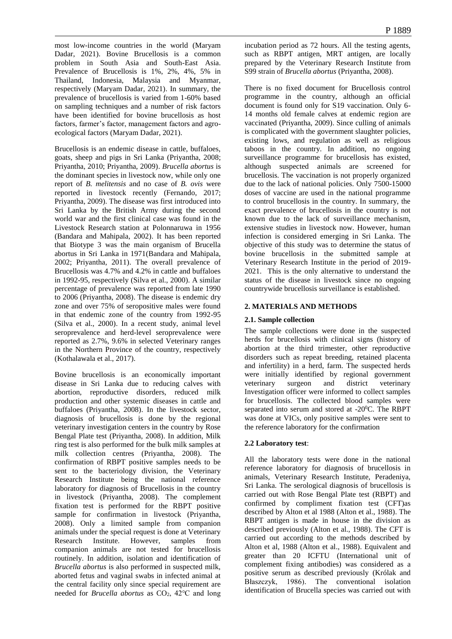most low-income countries in the world (Maryam Dadar, 2021). Bovine Brucellosis is a common problem in South Asia and South-East Asia. Prevalence of Brucellosis is 1%, 2%, 4%, 5% in Thailand, Indonesia, Malaysia and Myanmar, respectively (Maryam Dadar, 2021). In summary, the prevalence of brucellosis is varied from 1-60% based on sampling techniques and a number of risk factors have been identified for bovine brucellosis as host factors, farmer's factor, management factors and agroecological factors (Maryam Dadar, 2021).

Brucellosis is an endemic disease in cattle, buffaloes, goats, sheep and pigs in Sri Lanka (Priyantha, 2008; Priyantha, 2010; Priyantha, 2009). *Brucella abortus* is the dominant species in livestock now, while only one report of *B. melitensis* and no case of *B. ovis* were reported in livestock recently (Fernando, 2017; Priyantha, 2009). The disease was first introduced into Sri Lanka by the British Army during the second world war and the first clinical case was found in the Livestock Research station at Polonnaruwa in 1956 (Bandara and Mahipala, 2002). It has been reported that Biotype 3 was the main organism of Brucella abortus in Sri Lanka in 1971(Bandara and Mahipala, 2002; Priyantha, 2011). The overall prevalence of Brucellosis was 4.7% and 4.2% in cattle and buffaloes in 1992-95, respectively (Silva et al., 2000). A similar percentage of prevalence was reported from late 1990 to 2006 (Priyantha, 2008). The disease is endemic dry zone and over 75% of seropositive males were found in that endemic zone of the country from 1992-95 (Silva et al., 2000). In a recent study, animal level seroprevalence and herd-level seroprevalence were reported as 2.7%, 9.6% in selected Veterinary ranges in the Northern Province of the country, respectively (Kothalawala et al., 2017).

Bovine brucellosis is an economically important disease in Sri Lanka due to reducing calves with abortion, reproductive disorders, reduced milk production and other systemic diseases in cattle and buffaloes (Priyantha, 2008). In the livestock sector, diagnosis of brucellosis is done by the regional veterinary investigation centers in the country by Rose Bengal Plate test (Priyantha, 2008). In addition, Milk ring test is also performed for the bulk milk samples at milk collection centres (Priyantha, 2008). The confirmation of RBPT positive samples needs to be sent to the bacteriology division, the Veterinary Research Institute being the national reference laboratory for diagnosis of Brucellosis in the country in livestock (Priyantha, 2008). The complement fixation test is performed for the RBPT positive sample for confirmation in livestock (Priyantha, 2008). Only a limited sample from companion animals under the special request is done at Veterinary Research Institute. However, samples from companion animals are not tested for brucellosis routinely. In addition, isolation and identification of *Brucella abortus* is also performed in suspected milk, aborted fetus and vaginal swabs in infected animal at the central facility only since special requirement are needed for *Brucella abortus* as CO<sub>2</sub>, 42℃ and long

incubation period as 72 hours. All the testing agents, such as RBPT antigen, MRT antigen, are locally prepared by the Veterinary Research Institute from S99 strain of *Brucella abortus* (Priyantha, 2008).

There is no fixed document for Brucellosis control programme in the country, although an official document is found only for S19 vaccination. Only 6- 14 months old female calves at endemic region are vaccinated (Priyantha, 2009). Since culling of animals is complicated with the government slaughter policies, existing lows, and regulation as well as religious taboos in the country. In addition, no ongoing surveillance programme for brucellosis has existed, although suspected animals are screened for brucellosis. The vaccination is not properly organized due to the lack of national policies. Only 7500-15000 doses of vaccine are used in the national programme to control brucellosis in the country. In summary, the exact prevalence of brucellosis in the country is not known due to the lack of surveillance mechanism, extensive studies in livestock now. However, human infection is considered emerging in Sri Lanka. The objective of this study was to determine the status of bovine brucellosis in the submitted sample at Veterinary Research Institute in the period of 2019- 2021. This is the only alternative to understand the status of the disease in livestock since no ongoing countrywide brucellosis surveillance is established.

# **2. MATERIALS AND METHODS**

## **2.1. Sample collection**

The sample collections were done in the suspected herds for brucellosis with clinical signs (history of abortion at the third trimester, other reproductive disorders such as repeat breeding, retained placenta and infertility) in a herd, farm. The suspected herds were initially identified by regional government veterinary surgeon and district veterinary Investigation officer were informed to collect samples for brucellosis. The collected blood samples were separated into serum and stored at -20<sup>0</sup>C. The RBPT was done at VICs, only positive samples were sent to the reference laboratory for the confirmation

## **2.2 Laboratory test**:

All the laboratory tests were done in the national reference laboratory for diagnosis of brucellosis in animals, Veterinary Research Institute, Peradeniya, Sri Lanka. The serological diagnosis of brucellosis is carried out with Rose Bengal Plate test (RBPT) and confirmed by compliment fixation test (CFT)as described by Alton et al 1988 (Alton et al., 1988). The RBPT antigen is made in house in the division as described previously (Alton et al., 1988). The CFT is carried out according to the methods described by Alton et al, 1988 (Alton et al., 1988). Equivalent and greater than 20 ICFTU (International unit of complement fixing antibodies) was considered as a positive serum as described previously (Królak and Błaszczyk, 1986). The conventional isolation identification of Brucella species was carried out with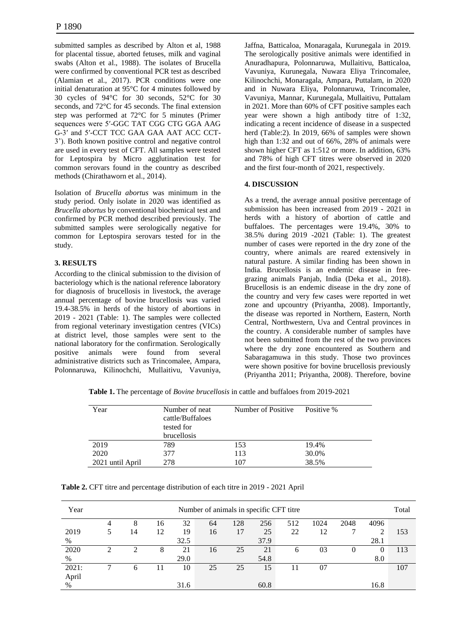submitted samples as described by Alton et al, 1988 for placental tissue, aborted fetuses, milk and vaginal swabs (Alton et al., 1988). The isolates of Brucella were confirmed by conventional PCR test as described (Alamian et al., 2017). PCR conditions were one initial denaturation at 95°C for 4 minutes followed by 30 cycles of 94°C for 30 seconds, 52°C for 30 seconds, and 72°C for 45 seconds. The final extension step was performed at 72°C for 5 minutes (Primer sequences were 5′-GGC TAT CGG CTG GGA AAG G-3′ and 5′-CCT TCC GAA GAA AAT ACC CCT-3'). Both known positive control and negative control are used in every test of CFT. All samples were tested for Leptospira by Micro agglutination test for common serovars found in the country as described methods (Chirathaworn et al., 2014).

Isolation of *Brucella abortus* was minimum in the study period. Only isolate in 2020 was identified as *Brucella abortus* by conventional biochemical test and confirmed by PCR method described previously. The submitted samples were serologically negative for common for Leptospira serovars tested for in the study.

## **3. RESULTS**

According to the clinical submission to the division of bacteriology which is the national reference laboratory for diagnosis of brucellosis in livestock, the average annual percentage of bovine brucellosis was varied 19.4-38.5% in herds of the history of abortions in 2019 - 2021 (Table: 1). The samples were collected from regional veterinary investigation centres (VICs) at district level, those samples were sent to the national laboratory for the confirmation. Serologically positive animals were found from several administrative districts such as Trincomalee, Ampara, Polonnaruwa, Kilinochchi, Mullaitivu, Vavuniya,

Jaffna, Batticaloa, Monaragala, Kurunegala in 2019. The serologically positive animals were identified in Anuradhapura, Polonnaruwa, Mullaitivu, Batticaloa, Vavuniya, Kurunegala, Nuwara Eliya Trincomalee, Kilinochchi, Monaragala, Ampara, Puttalam, in 2020 and in Nuwara Eliya, Polonnaruwa, Trincomalee, Vavuniya, Mannar, Kurunegala, Mullaitivu, Puttalam in 2021. More than 60% of CFT positive samples each year were shown a high antibody titre of 1:32, indicating a recent incidence of disease in a suspected herd (Table:2). In 2019, 66% of samples were shown high than 1:32 and out of 66%, 28% of animals were shown higher CFT as 1:512 or more. In addition, 63% and 78% of high CFT titres were observed in 2020 and the first four-month of 2021, respectively.

### **4. DISCUSSION**

As a trend, the average annual positive percentage of submission has been increased from 2019 - 2021 in herds with a history of abortion of cattle and buffaloes. The percentages were 19.4%, 30% to 38.5% during 2019 -2021 (Table: 1). The greatest number of cases were reported in the dry zone of the country, where animals are reared extensively in natural pasture. A similar finding has been shown in India. Brucellosis is an endemic disease in freegrazing animals Panjab, India (Deka et al., 2018). Brucellosis is an endemic disease in the dry zone of the country and very few cases were reported in wet zone and upcountry (Priyantha, 2008). Importantly, the disease was reported in Northern, Eastern, North Central, Northwestern, Uva and Central provinces in the country. A considerable number of samples have not been submitted from the rest of the two provinces where the dry zone encountered as Southern and Sabaragamuwa in this study. Those two provinces were shown positive for bovine brucellosis previously (Priyantha 2011; Priyantha, 2008). Therefore, bovine

 **Table 1.** The percentage of *Bovine brucellosis* in cattle and buffaloes from 2019-2021

| Year             | Number of neat<br>cattle/Buffaloes<br>tested for<br><b>brucellosis</b> | Number of Positive | Positive % |  |  |
|------------------|------------------------------------------------------------------------|--------------------|------------|--|--|
| 2019             | 789                                                                    | 153                | 19.4%      |  |  |
| 2020             | 377                                                                    | 113                | 30.0%      |  |  |
| 2021 until April | 278                                                                    | 107                | 38.5%      |  |  |

**Table 2.** CFT titre and percentage distribution of each titre in 2019 - 2021 April

| Year  | Number of animals in specific CFT titre |    |           |      |    |     |      |     |      |      | Total  |     |
|-------|-----------------------------------------|----|-----------|------|----|-----|------|-----|------|------|--------|-----|
|       | 4                                       | 8  | 16        | 32   | 64 | 128 | 256  | 512 | 1024 | 2048 | 4096   |     |
| 2019  |                                         | 14 | 12        | 19   | 16 | 17  | 25   | 22  | 12   |      | ◠<br>∸ | 153 |
| %     |                                         |    |           | 32.5 |    |     | 37.9 |     |      |      | 28.1   |     |
| 2020  | ↑                                       | ◠  | 8         | 21   | 16 | 25  | 21   | 6   | 03   | 0    | 0      | 113 |
| %     |                                         |    |           | 29.0 |    |     | 54.8 |     |      |      | 8.0    |     |
| 2021: |                                         | h  | $\vert$ 1 | 10   | 25 | 25  | 15   |     | 07   |      |        | 107 |
| April |                                         |    |           |      |    |     |      |     |      |      |        |     |
| $\%$  |                                         |    |           | 31.6 |    |     | 60.8 |     |      |      | 16.8   |     |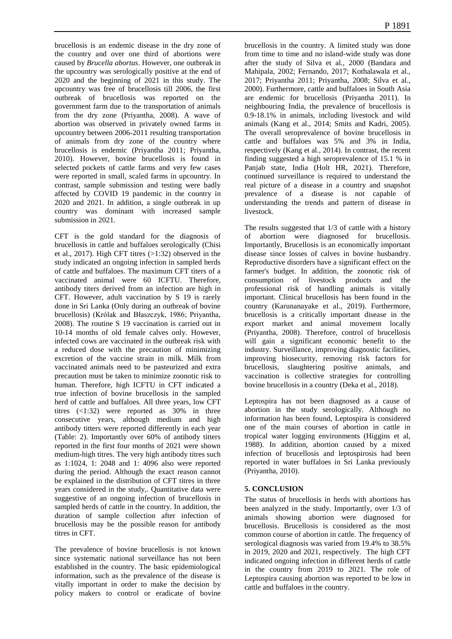brucellosis is an endemic disease in the dry zone of the country and over one third of abortions were caused by *Brucella abortus*. However, one outbreak in the upcountry was serologically positive at the end of 2020 and the beginning of 2021 in this study. The upcountry was free of brucellosis till 2006, the first outbreak of brucellosis was reported on the government farm due to the transportation of animals from the dry zone (Priyantha, 2008). A wave of abortion was observed in privately owned farms in upcountry between 2006-2011 resulting transportation of animals from dry zone of the country where brucellosis is endemic (Priyantha 2011; Priyantha, 2010). However, bovine brucellosis is found in selected pockets of cattle farms and very few cases were reported in small, scaled farms in upcountry. In contrast, sample submission and testing were badly affected by COVID 19 pandemic in the country in 2020 and 2021. In addition, a single outbreak in up country was dominant with increased sample submission in 2021.

CFT is the gold standard for the diagnosis of brucellosis in cattle and buffaloes serologically (Chisi et al., 2017). High CFT titres (>1:32) observed in the study indicated an ongoing infection in sampled herds of cattle and buffaloes. The maximum CFT titers of a vaccinated animal were 60 ICFTU. Therefore, antibody titers derived from an infection are high in CFT. However, adult vaccination by S 19 is rarely done in Sri Lanka (Only during an outbreak of bovine brucellosis) (Królak and Błaszczyk, 1986; Priyantha, 2008). The routine S 19 vaccination is carried out in 10-14 months of old female calves only. However, infected cows are vaccinated in the outbreak risk with a reduced dose with the precaution of minimizing excretion of the vaccine strain in milk. Milk from vaccinated animals need to be pasteurized and extra precaution must be taken to minimize zoonotic risk to human. Therefore, high ICFTU in CFT indicated a true infection of bovine brucellosis in the sampled herd of cattle and buffaloes. All three years, low CFT titres (<1:32) were reported as 30% in three consecutive years, although medium and high antibody titters were reported differently in each year (Table: 2). Importantly over 60% of antibody titters reported in the first four months of 2021 were shown medium-high titres. The very high antibody titres such as 1:1024, 1: 2048 and 1: 4096 also were reported during the period. Although the exact reason cannot be explained in the distribution of CFT titres in three years considered in the study,. Quantitative data were suggestive of an ongoing infection of brucellosis in sampled herds of cattle in the country. In addition, the duration of sample collection after infection of brucellosis may be the possible reason for antibody titres in CFT.

The prevalence of bovine brucellosis is not known since systematic national surveillance has not been established in the country. The basic epidemiological information, such as the prevalence of the disease is vitally important in order to make the decision by policy makers to control or eradicate of bovine brucellosis in the country. A limited study was done from time to time and no island-wide study was done after the study of Silva et al., 2000 (Bandara and Mahipala, 2002; Fernando, 2017; Kothalawala et al., 2017; Priyantha 2011; Priyantha, 2008; Silva et al., 2000). Furthermore, cattle and buffaloes in South Asia are endemic for brucellosis (Priyantha 2011). In neighbouring India, the prevalence of brucellosis is 0.9-18.1% in animals, including livestock and wild animals (Kang et al., 2014; Smits and Kadri, 2005). The overall seroprevalence of bovine brucellosis in cattle and buffaloes was 5% and 3% in India, respectively (Kang et al., 2014). In contrast, the recent finding suggested a high seroprevalence of 15.1 % in Panjab state, India (Holt HR, 2021). Therefore, continued surveillance is required to understand the real picture of a disease in a country and snapshot prevalence of a disease is not capable of understanding the trends and pattern of disease in livestock.

The results suggested that 1/3 of cattle with a history of abortion were diagnosed for brucellosis. Importantly, Brucellosis is an economically important disease since losses of calves in bovine husbandry. Reproductive disorders have a significant effect on the farmer's budget. In addition, the zoonotic risk of consumption of livestock products and the professional risk of handling animals is vitally important. Clinical brucellosis has been found in the country (Karunanayake et al., 2019). Furthermore, brucellosis is a critically important disease in the export market and animal movement locally (Priyantha, 2008). Therefore, control of brucellosis will gain a significant economic benefit to the industry. Surveillance, improving diagnostic facilities, improving biosecurity, removing risk factors for brucellosis, slaughtering positive animals, and vaccination is collective strategies for controlling bovine brucellosis in a country (Deka et al., 2018).

Leptospira has not been diagnosed as a cause of abortion in the study serologically. Although no information has been found, Leptospira is considered one of the main courses of abortion in cattle in tropical water logging environments (Higgins et al, 1988). In addition, abortion caused by a mixed infection of brucellosis and leptospirosis had been reported in water buffaloes in Sri Lanka previously (Priyantha, 2010).

## **5. CONCLUSION**

The status of brucellosis in herds with abortions has been analyzed in the study. Importantly, over 1/3 of animals showing abortion were diagnosed for brucellosis. Brucellosis is considered as the most common course of abortion in cattle. The frequency of serological diagnosis was varied from 19.4% to 38.5% in 2019, 2020 and 2021, respectively. The high CFT indicated ongoing infection in different herds of cattle in the country from 2019 to 2021. The role of Leptospira causing abortion was reported to be low in cattle and buffaloes in the country.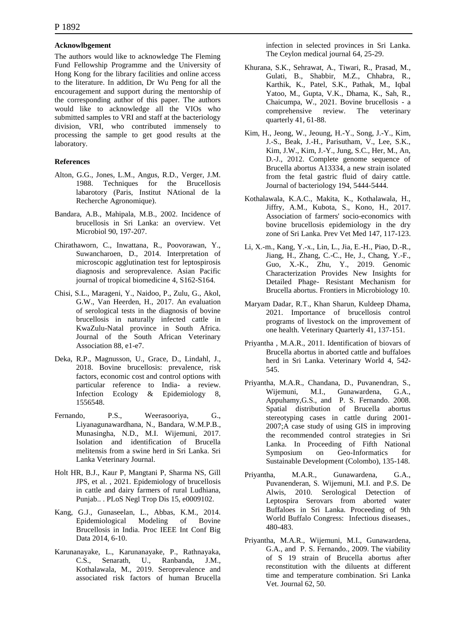#### **Acknowlbgement**

The authors would like to acknowledge The Fleming Fund Fellowship Programme and the University of Hong Kong for the library facilities and online access to the literature. In addition, Dr Wu Peng for all the encouragement and support during the mentorship of the corresponding author of this paper. The authors would like to acknowledge all the VIOs who submitted samples to VRI and staff at the bacteriology division, VRI, who contributed immensely to processing the sample to get good results at the laboratory.

#### **References**

- Alton, G.G., Jones, L.M., Angus, R.D., Verger, J.M. 1988. Techniques for the Brucellosis labarotory (Paris, Institut NAtional de la Recherche Agronomique).
- Bandara, A.B., Mahipala, M.B., 2002. Incidence of brucellosis in Sri Lanka: an overview. Vet Microbiol 90, 197-207.
- Chirathaworn, C., Inwattana, R., Poovorawan, Y., Suwancharoen, D., 2014. Interpretation of microscopic agglutination test for leptospirosis diagnosis and seroprevalence. Asian Pacific journal of tropical biomedicine 4, S162-S164.
- Chisi, S.L., Marageni, Y., Naidoo, P., Zulu, G., Akol, G.W., Van Heerden, H., 2017. An evaluation of serological tests in the diagnosis of bovine brucellosis in naturally infected cattle in KwaZulu-Natal province in South Africa. Journal of the South African Veterinary Association 88, e1-e7.
- Deka, R.P., Magnusson, U., Grace, D., Lindahl, J., 2018. Bovine brucellosis: prevalence, risk factors, economic cost and control options with particular reference to India- a review. Infection Ecology & Epidemiology 8, 1556548.
- Fernando, P.S., Weerasooriya, G., Liyanagunawardhana, N., Bandara, W.M.P.B., Munasingha, N.D., M.I. Wijemuni, 2017. Isolation and identification of Brucella melitensis from a swine herd in Sri Lanka. Sri Lanka Veterinary Journal.
- Holt HR, B.J., Kaur P, Mangtani P, Sharma NS, Gill JPS, et al. , 2021. Epidemiology of brucellosis in cattle and dairy farmers of rural Ludhiana, Punjab.. . PLoS Negl Trop Dis 15, e0009102.
- Kang, G.J., Gunaseelan, L., Abbas, K.M., 2014. Epidemiological Modeling of Bovine Brucellosis in India. Proc IEEE Int Conf Big Data 2014, 6-10.
- Karunanayake, L., Karunanayake, P., Rathnayaka, C.S., Senarath, U., Ranbanda, J.M., Kothalawala, M., 2019. Seroprevalence and associated risk factors of human Brucella

infection in selected provinces in Sri Lanka. The Ceylon medical journal 64, 25-29.

- Khurana, S.K., Sehrawat, A., Tiwari, R., Prasad, M., Gulati, B., Shabbir, M.Z., Chhabra, R., Karthik, K., Patel, S.K., Pathak, M., Iqbal Yatoo, M., Gupta, V.K., Dhama, K., Sah, R., Chaicumpa, W., 2021. Bovine brucellosis - a comprehensive review. The veterinary quarterly 41, 61-88.
- Kim, H., Jeong, W., Jeoung, H.-Y., Song, J.-Y., Kim, J.-S., Beak, J.-H., Parisutham, V., Lee, S.K., Kim, J.W., Kim, J.-Y., Jung, S.C., Her, M., An, D.-J., 2012. Complete genome sequence of Brucella abortus A13334, a new strain isolated from the fetal gastric fluid of dairy cattle. Journal of bacteriology 194, 5444-5444.
- Kothalawala, K.A.C., Makita, K., Kothalawala, H., Jiffry, A.M., Kubota, S., Kono, H., 2017. Association of farmers' socio-economics with bovine brucellosis epidemiology in the dry zone of Sri Lanka. Prev Vet Med 147, 117-123.
- Li, X.-m., Kang, Y.-x., Lin, L., Jia, E.-H., Piao, D.-R., Jiang, H., Zhang, C.-C., He, J., Chang, Y.-F., Guo, X.-K., Zhu, Y., 2019. Genomic Characterization Provides New Insights for Detailed Phage- Resistant Mechanism for Brucella abortus. Frontiers in Microbiology 10.
- Maryam Dadar, R.T., Khan Sharun, Kuldeep Dhama, 2021. Importance of brucellosis control programs of livestock on the improvement of one health. Veterinary Quarterly 41, 137-151.
- Priyantha , M.A.R., 2011. Identification of biovars of Brucella abortus in aborted cattle and buffaloes herd in Sri Lanka. Veterinary World 4, 542- 545.
- Priyantha, M.A.R., Chandana, D., Puvanendran, S., Wijemuni, M.I., Gunawardena, G.A., Appuhamy,G.S., and P. S. Fernando. 2008. Spatial distribution of Brucella abortus stereotyping cases in cattle during 2001- 2007;A case study of using GIS in improving the recommended control strategies in Sri Lanka. In Proceeding of Fifth National Symposium on Geo-Informatics for Symposium on Geo-Informatics for Sustainable Development (Colombo), 135-148.
- Priyantha, M.A.R., Gunawardena, G.A., Puvanenderan, S. Wijemuni, M.I. and P.S. De Alwis, 2010. Serological Detection of Leptospira Serovars from aborted water Buffaloes in Sri Lanka. Proceeding of 9th World Buffalo Congress: Infectious diseases., 480-483.
- Priyantha, M.A.R., Wijemuni, M.I., Gunawardena, G.A., and P. S. Fernando., 2009. The viability of S 19 strain of Brucella abortus after reconstitution with the diluents at different time and temperature combination. Sri Lanka Vet. Journal 62, 50.